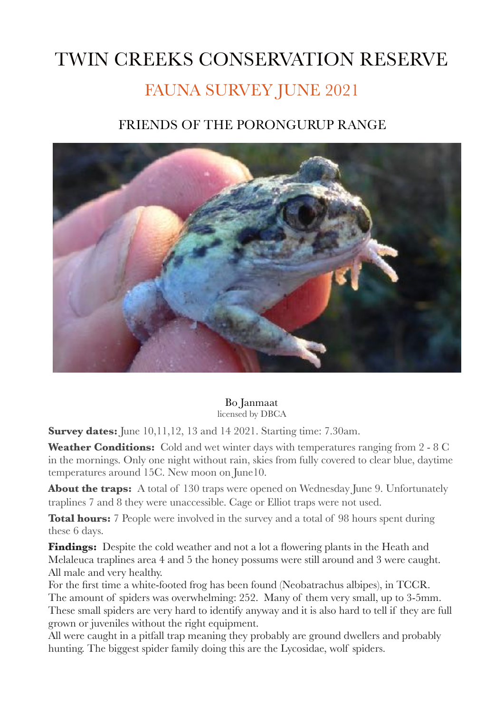## TWIN CREEKS CONSERVATION RESERVE FAUNA SURVEY JUNE 2021

## FRIENDS OF THE PORONGURUP RANGE



Bo Janmaat licensed by DBCA

**Survey dates:** June 10,11,12, 13 and 14 2021. Starting time: 7.30am.

Weather Conditions: Cold and wet winter days with temperatures ranging from 2 - 8 C in the mornings. Only one night without rain, skies from fully covered to clear blue, daytime temperatures around 15C. New moon on June10.

**About the traps:** A total of 130 traps were opened on Wednesday June 9. Unfortunately traplines 7 and 8 they were unaccessible. Cage or Elliot traps were not used.

**Total hours:** 7 People were involved in the survey and a total of 98 hours spent during these 6 days.

**Findings:** Despite the cold weather and not a lot a flowering plants in the Heath and Melaleuca traplines area 4 and 5 the honey possums were still around and 3 were caught. All male and very healthy.

For the first time a white-footed frog has been found (Neobatrachus albipes), in TCCR. The amount of spiders was overwhelming: 252. Many of them very small, up to 3-5mm. These small spiders are very hard to identify anyway and it is also hard to tell if they are full grown or juveniles without the right equipment.

All were caught in a pitfall trap meaning they probably are ground dwellers and probably hunting. The biggest spider family doing this are the Lycosidae, wolf spiders.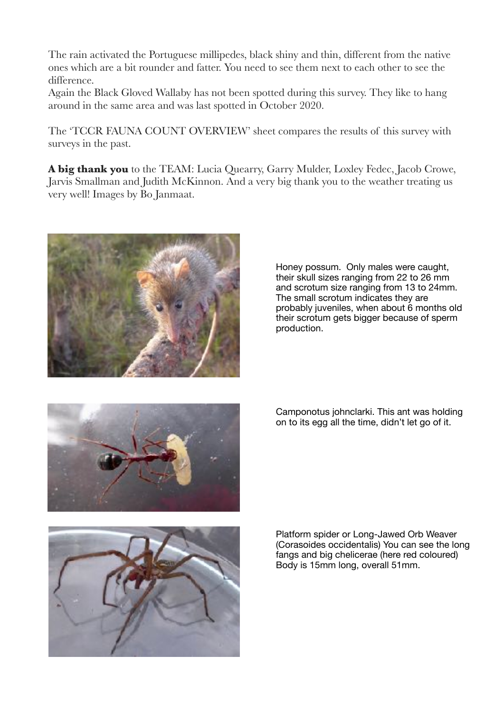The rain activated the Portuguese millipedes, black shiny and thin, different from the native ones which are a bit rounder and fatter. You need to see them next to each other to see the difference.

Again the Black Gloved Wallaby has not been spotted during this survey. They like to hang around in the same area and was last spotted in October 2020.

The 'TCCR FAUNA COUNT OVERVIEW' sheet compares the results of this survey with surveys in the past.

**A big thank you** to the TEAM: Lucia Quearry, Garry Mulder, Loxley Fedec, Jacob Crowe, Jarvis Smallman and Judith McKinnon. And a very big thank you to the weather treating us very well! Images by Bo Janmaat.



Honey possum. Only males were caught, their skull sizes ranging from 22 to 26 mm and scrotum size ranging from 13 to 24mm. The small scrotum indicates they are probably juveniles, when about 6 months old their scrotum gets bigger because of sperm production.



Camponotus johnclarki. This ant was holding on to its egg all the time, didn't let go of it.



Platform spider or Long-Jawed Orb Weaver (Corasoides occidentalis) You can see the long fangs and big chelicerae (here red coloured) Body is 15mm long, overall 51mm.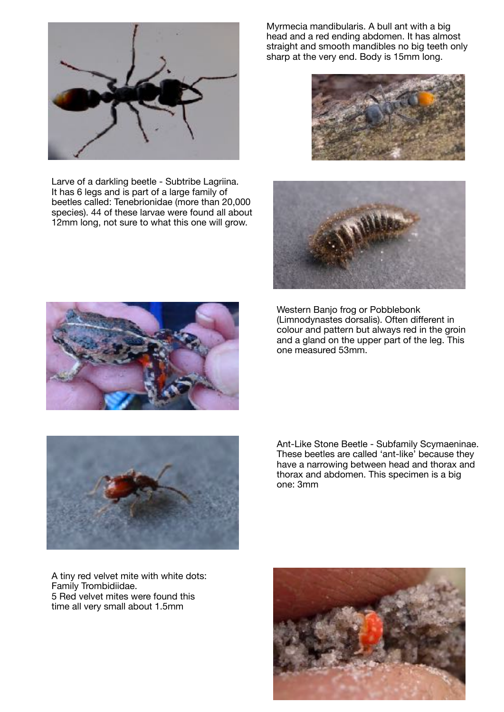

Larve of a darkling beetle - Subtribe Lagriina. It has 6 legs and is part of a large family of beetles called: Tenebrionidae (more than 20,000 species). 44 of these larvae were found all about 12mm long, not sure to what this one will grow.

Myrmecia mandibularis. A bull ant with a big head and a red ending abdomen. It has almost straight and smooth mandibles no big teeth only sharp at the very end. Body is 15mm long.





Western Banjo frog or Pobblebonk (Limnodynastes dorsalis). Often different in colour and pattern but always red in the groin and a gland on the upper part of the leg. This one measured 53mm.





Ant-Like Stone Beetle - Subfamily Scymaeninae. These beetles are called 'ant-like' because they have a narrowing between head and thorax and thorax and abdomen. This specimen is a big one: 3mm

A tiny red velvet mite with white dots: Family Trombidiidae. 5 Red velvet mites were found this time all very small about 1.5mm